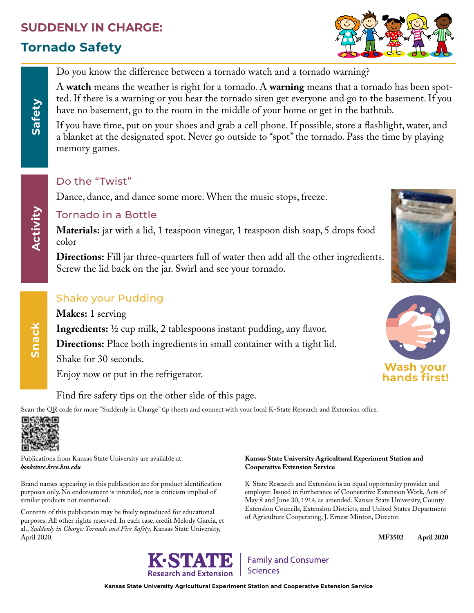# **SUDDENLY IN CHARGE:**

# **Tornado Safety**



Do you know the difference between a tornado watch and a tornado warning?

A **watch** means the weather is right for a tornado. A **warning** means that a tornado has been spotted. If there is a warning or you hear the tornado siren get everyone and go to the basement. If you have no basement, go to the room in the middle of your home or get in the bathtub.

If you have time, put on your shoes and grab a cell phone. If possible, store a flashlight, water, and a blanket at the designated spot. Never go outside to "spot" the tornado. Pass the time by playing memory games.

### Do the "Twist"

Dance, dance, and dance some more. When the music stops, freeze.

### Tornado in a Bottle

**Materials:** jar with a lid, 1 teaspoon vinegar, 1 teaspoon dish soap, 5 drops food color

**Directions:** Fill jar three-quarters full of water then add all the other ingredients. Screw the lid back on the jar. Swirl and see your tornado.

## Shake your Pudding

**Makes:** 1 serving

**Ingredients:** 1/2 cup milk, 2 tablespoons instant pudding, any flavor.

**Directions:** Place both ingredients in small container with a tight lid.

Shake for 30 seconds.

Enjoy now or put in the refrigerator.

Find fire safety tips on the other side of this page.

Scan the QR code for more "Suddenly in Charge" tip sheets and connect with your local K-State Research and Extension office.



Publications from Kansas State University are available at: *bookstore.ksre.ksu.edu*

Brand names appearing in this publication are for product identification purposes only. No endorsement is intended, nor is criticism implied of similar products not mentioned.

Contents of this publication may be freely reproduced for educational purposes. All other rights reserved. In each case, credit Melody Garcia, et al., *Suddenly in Charge: Tornado and Fire Safety,* Kansas State University, April 2020.

### **Kansas State University Agricultural Experiment Station and Cooperative Extension Service**

K-State Research and Extension is an equal opportunity provider and employer. Issued in furtherance of Cooperative Extension Work, Acts of May 8 and June 30, 1914, as amended. Kansas State University, County Extension Councils, Extension Districts, and United States Department of Agriculture Cooperating, J. Ernest Minton, Director.

**MF3502 April 2020**





**Kansas State University Agricultural Experiment Station and Cooperative Extension Service**





**Snack**